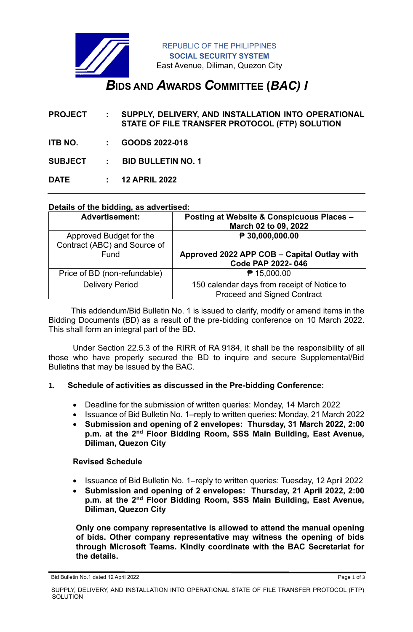

# *B***IDS AND** *A***WARDS** *C***OMMITTEE (***BAC) I*

**PROJECT : SUPPLY, DELIVERY, AND INSTALLATION INTO OPERATIONAL STATE OF FILE TRANSFER PROTOCOL (FTP) SOLUTION**

**ITB NO. : GOODS 2022-018**

**SUBJECT : BID BULLETIN NO. 1**

**DATE : 12 APRIL 2022**

## **Details of the bidding, as advertised:**

| <b>Advertisement:</b>                                   | Posting at Website & Conspicuous Places -<br>March 02 to 09, 2022                 |
|---------------------------------------------------------|-----------------------------------------------------------------------------------|
| Approved Budget for the<br>Contract (ABC) and Source of | $\sqrt{P}$ 30,000,000.00                                                          |
| Fund                                                    | Approved 2022 APP COB - Capital Outlay with<br>Code PAP 2022-046                  |
| Price of BD (non-refundable)                            | ₱ 15,000.00                                                                       |
| <b>Delivery Period</b>                                  | 150 calendar days from receipt of Notice to<br><b>Proceed and Signed Contract</b> |

 This addendum/Bid Bulletin No. 1 is issued to clarify, modify or amend items in the Bidding Documents (BD) as a result of the pre-bidding conference on 10 March 2022. This shall form an integral part of the BD**.**

Under Section 22.5.3 of the RIRR of RA 9184, it shall be the responsibility of all those who have properly secured the BD to inquire and secure Supplemental/Bid Bulletins that may be issued by the BAC.

#### **1. Schedule of activities as discussed in the Pre-bidding Conference:**

- Deadline for the submission of written queries: Monday, 14 March 2022
- Issuance of Bid Bulletin No. 1–reply to written queries: Monday, 21 March 2022
- **Submission and opening of 2 envelopes: Thursday, 31 March 2022, 2:00 p.m. at the 2nd Floor Bidding Room, SSS Main Building, East Avenue, Diliman, Quezon City**

#### **Revised Schedule**

- Issuance of Bid Bulletin No. 1–reply to written queries: Tuesday, 12 April 2022
- **Submission and opening of 2 envelopes: Thursday, 21 April 2022, 2:00 p.m. at the 2nd Floor Bidding Room, SSS Main Building, East Avenue, Diliman, Quezon City**

**Only one company representative is allowed to attend the manual opening of bids. Other company representative may witness the opening of bids through Microsoft Teams. Kindly coordinate with the BAC Secretariat for the details.**

Bid Bulletin No.1 dated 12 April 2022 Page 1 of 3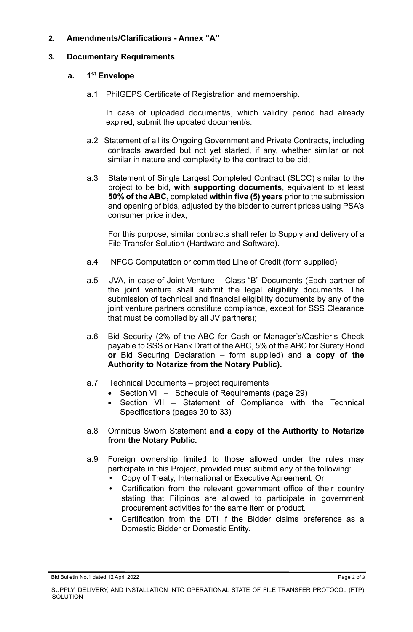# **2. Amendments/Clarifications - Annex "A"**

#### **3. Documentary Requirements**

#### **a. 1 st Envelope**

a.1 PhilGEPS Certificate of Registration and membership.

In case of uploaded document/s, which validity period had already expired, submit the updated document/s.

- a.2 Statement of all its Ongoing Government and Private Contracts, including contracts awarded but not yet started, if any, whether similar or not similar in nature and complexity to the contract to be bid;
- a.3 Statement of Single Largest Completed Contract (SLCC) similar to the project to be bid, **with supporting documents**, equivalent to at least **50% of the ABC**, completed **within five (5) years** prior to the submission and opening of bids, adjusted by the bidder to current prices using PSA's consumer price index;

For this purpose, similar contracts shall refer to Supply and delivery of a File Transfer Solution (Hardware and Software).

- a.4 NFCC Computation or committed Line of Credit (form supplied)
- a.5 JVA, in case of Joint Venture Class "B" Documents (Each partner of the joint venture shall submit the legal eligibility documents. The submission of technical and financial eligibility documents by any of the joint venture partners constitute compliance, except for SSS Clearance that must be complied by all JV partners);
- a.6 Bid Security (2% of the ABC for Cash or Manager's/Cashier's Check payable to SSS or Bank Draft of the ABC, 5% of the ABC for Surety Bond **or** Bid Securing Declaration – form supplied) and **a copy of the Authority to Notarize from the Notary Public).**
- a.7 Technical Documents project requirements
	- Section VI Schedule of Requirements (page 29)
	- Section VII Statement of Compliance with the Technical Specifications (pages 30 to 33)
- a.8 Omnibus Sworn Statement **and a copy of the Authority to Notarize from the Notary Public.**
- a.9 Foreign ownership limited to those allowed under the rules may participate in this Project, provided must submit any of the following:
	- Copy of Treaty, International or Executive Agreement; Or
	- Certification from the relevant government office of their country stating that Filipinos are allowed to participate in government procurement activities for the same item or product.
	- Certification from the DTI if the Bidder claims preference as a Domestic Bidder or Domestic Entity.

Bid Bulletin No.1 dated 12 April 2022 Page 2 of 3